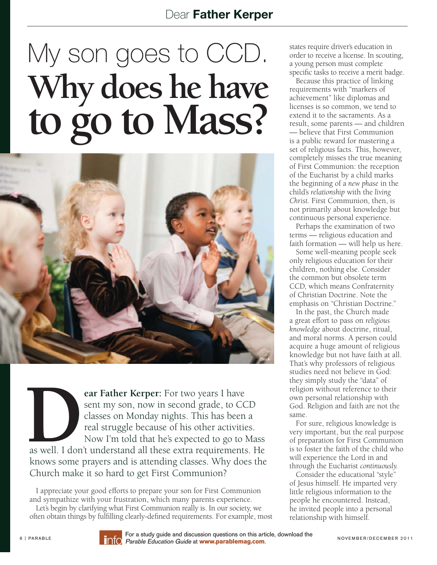## Dear Father Kerper

## $M<sub>hr</sub>$  does he have **Why does he have to go to Mass?**



**EXECUTE:** For two years I have sent my son, now in second grade, to CC classes on Monday nights. This has been real struggle because of his other activities Now I'm told that he's expected to go to I as well. I don't unde sent my son, now in second grade, to CCD classes on Monday nights. This has been a real struggle because of his other activities. Now I'm told that he's expected to go to Mass

as well. I don't understand all these extra requirements. He knows some prayers and is attending classes. Why does the Church make it so hard to get First Communion?

I appreciate your good efforts to prepare your son for First Communion and sympathize with your frustration, which many parents experience.

Let's begin by clarifying what First Communion really is. In our society, we often obtain things by fulfilling clearly-defined requirements. For example, most states require driver's education in order to receive a license. In scouting, a young person must complete specific tasks to receive a merit badge.

Because this practice of linking requirements with "markers of achievement" like diplomas and licenses is so common, we tend to extend it to the sacraments. As a result, some parents — and children — believe that First Communion is a public reward for mastering a set of religious facts. This, however, completely misses the true meaning of First Communion: the reception of the Eucharist by a child marks the beginning of a *new phase* in the child's *relationship* with the *living Christ.* First Communion, then, is not primarily about knowledge but continuous personal experience.

Perhaps the examination of two terms — religious education and faith formation — will help us here.

Some well-meaning people seek only religious education for their children, nothing else. Consider the common but obsolete term CCD, which means Confraternity of Christian Doctrine. Note the emphasis on "Christian Doctrine."

In the past, the Church made a great effort to pass on *religious knowledge* about doctrine, ritual, and moral norms. A person could acquire a huge amount of religious knowledge but not have faith at all. That's why professors of religious studies need not believe in God: they simply study the "data" of religion without reference to their own personal relationship with God. Religion and faith are not the same.

For sure, religious knowledge is very important, but the real purpose of preparation for First Communion is to foster the faith of the child who will experience the Lord in and through the Eucharist continuously.

Consider the educational "style" of Jesus himself. He imparted very little religious information to the people he encountered. Instead, he invited people into a personal relationship with himself.



For a study guide and discussion questions on this article, download the 6 | PARABLE **EDITO For a study guide and discussion questions on this article, download the** NOVEMBER/ DECEMBER 2011